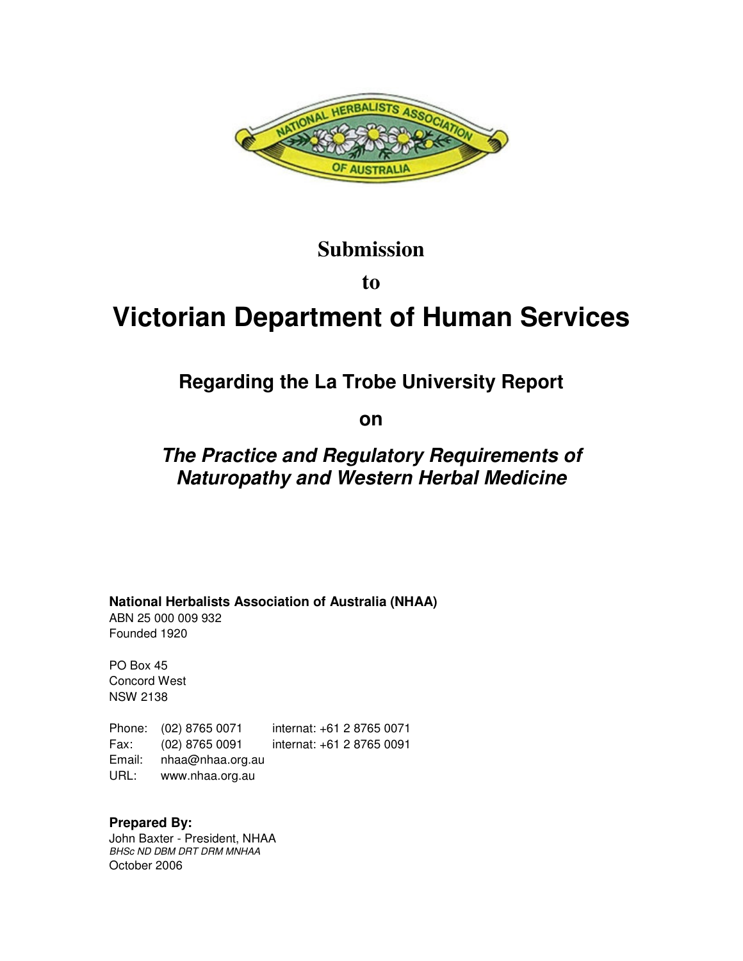

## **Submission**

**to** 

# **Victorian Department of Human Services**

## **Regarding the La Trobe University Report**

**on** 

## **The Practice and Regulatory Requirements of Naturopathy and Western Herbal Medicine**

**National Herbalists Association of Australia (NHAA)**

ABN 25 000 009 932 Founded 1920

PO Box 45 Concord West NSW 2138

Phone: (02) 8765 0071 internat: +61 2 8765 0071 Fax: (02) 8765 0091 internat: +61 2 8765 0091 Email: nhaa@nhaa.org.au URL: www.nhaa.org.au

**Prepared By:**  John Baxter - President, NHAA BHSc ND DBM DRT DRM MNHAA October 2006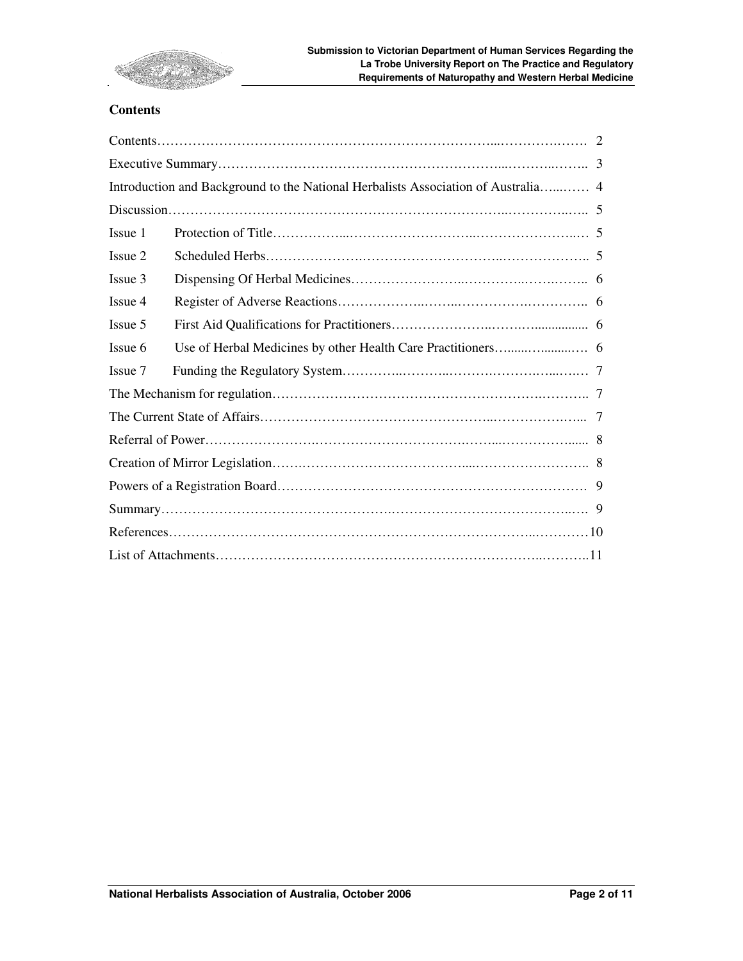

#### **Contents**

| Issue 1 |  |  |
|---------|--|--|
| Issue 2 |  |  |
| Issue 3 |  |  |
| Issue 4 |  |  |
| Issue 5 |  |  |
| Issue 6 |  |  |
| Issue 7 |  |  |
|         |  |  |
|         |  |  |
|         |  |  |
|         |  |  |
|         |  |  |
|         |  |  |
|         |  |  |
|         |  |  |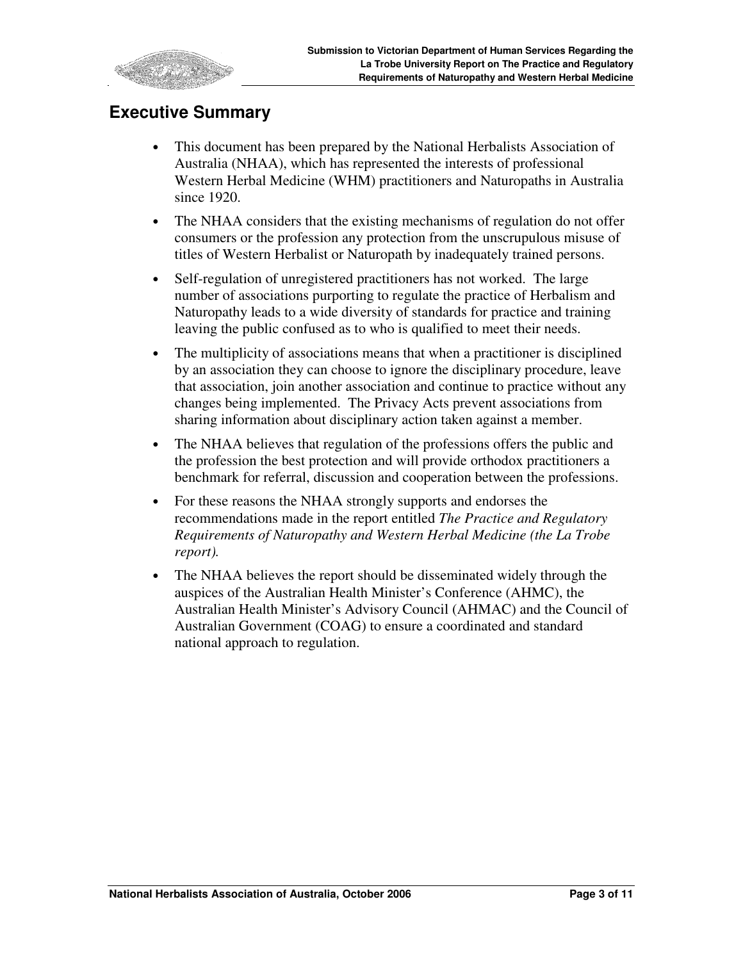

## **Executive Summary**

- This document has been prepared by the National Herbalists Association of Australia (NHAA), which has represented the interests of professional Western Herbal Medicine (WHM) practitioners and Naturopaths in Australia since 1920.
- The NHAA considers that the existing mechanisms of regulation do not offer consumers or the profession any protection from the unscrupulous misuse of titles of Western Herbalist or Naturopath by inadequately trained persons.
- Self-regulation of unregistered practitioners has not worked. The large number of associations purporting to regulate the practice of Herbalism and Naturopathy leads to a wide diversity of standards for practice and training leaving the public confused as to who is qualified to meet their needs.
- The multiplicity of associations means that when a practitioner is disciplined by an association they can choose to ignore the disciplinary procedure, leave that association, join another association and continue to practice without any changes being implemented. The Privacy Acts prevent associations from sharing information about disciplinary action taken against a member.
- The NHAA believes that regulation of the professions offers the public and the profession the best protection and will provide orthodox practitioners a benchmark for referral, discussion and cooperation between the professions.
- For these reasons the NHAA strongly supports and endorses the recommendations made in the report entitled *The Practice and Regulatory Requirements of Naturopathy and Western Herbal Medicine (the La Trobe report).*
- The NHAA believes the report should be disseminated widely through the auspices of the Australian Health Minister's Conference (AHMC), the Australian Health Minister's Advisory Council (AHMAC) and the Council of Australian Government (COAG) to ensure a coordinated and standard national approach to regulation.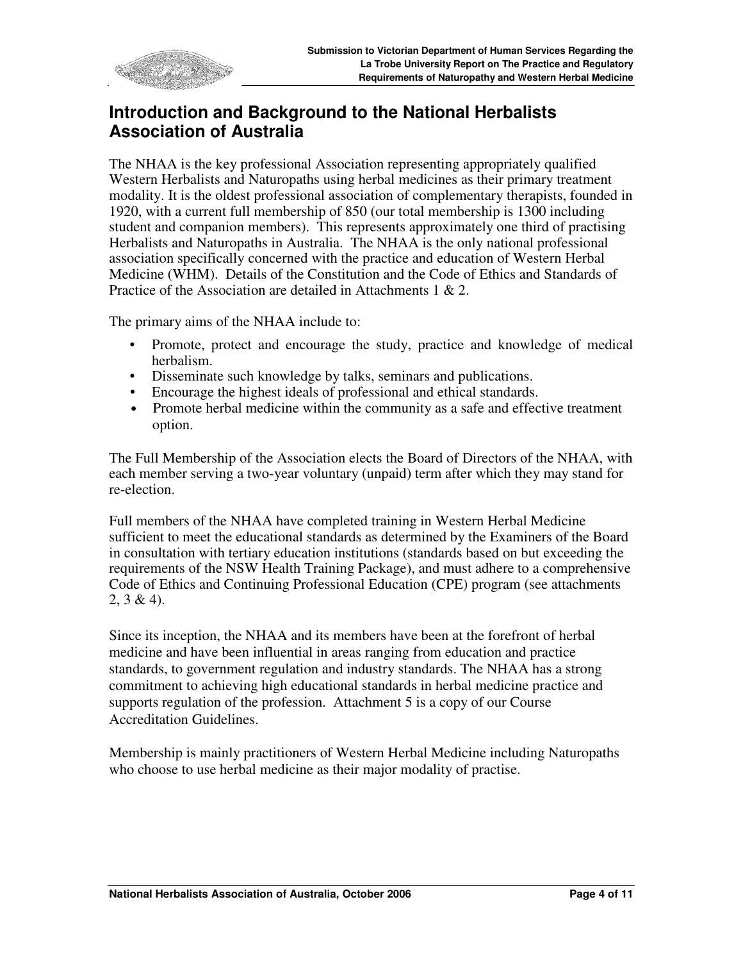

## **Introduction and Background to the National Herbalists Association of Australia**

The NHAA is the key professional Association representing appropriately qualified Western Herbalists and Naturopaths using herbal medicines as their primary treatment modality. It is the oldest professional association of complementary therapists, founded in 1920, with a current full membership of 850 (our total membership is 1300 including student and companion members). This represents approximately one third of practising Herbalists and Naturopaths in Australia. The NHAA is the only national professional association specifically concerned with the practice and education of Western Herbal Medicine (WHM). Details of the Constitution and the Code of Ethics and Standards of Practice of the Association are detailed in Attachments 1 & 2.

The primary aims of the NHAA include to:

- Promote, protect and encourage the study, practice and knowledge of medical herbalism.
- Disseminate such knowledge by talks, seminars and publications.
- Encourage the highest ideals of professional and ethical standards.
- Promote herbal medicine within the community as a safe and effective treatment option.

The Full Membership of the Association elects the Board of Directors of the NHAA, with each member serving a two-year voluntary (unpaid) term after which they may stand for re-election.

Full members of the NHAA have completed training in Western Herbal Medicine sufficient to meet the educational standards as determined by the Examiners of the Board in consultation with tertiary education institutions (standards based on but exceeding the requirements of the NSW Health Training Package), and must adhere to a comprehensive Code of Ethics and Continuing Professional Education (CPE) program (see attachments  $2, 3 \& 4$ ).

Since its inception, the NHAA and its members have been at the forefront of herbal medicine and have been influential in areas ranging from education and practice standards, to government regulation and industry standards. The NHAA has a strong commitment to achieving high educational standards in herbal medicine practice and supports regulation of the profession. Attachment 5 is a copy of our Course Accreditation Guidelines.

Membership is mainly practitioners of Western Herbal Medicine including Naturopaths who choose to use herbal medicine as their major modality of practise.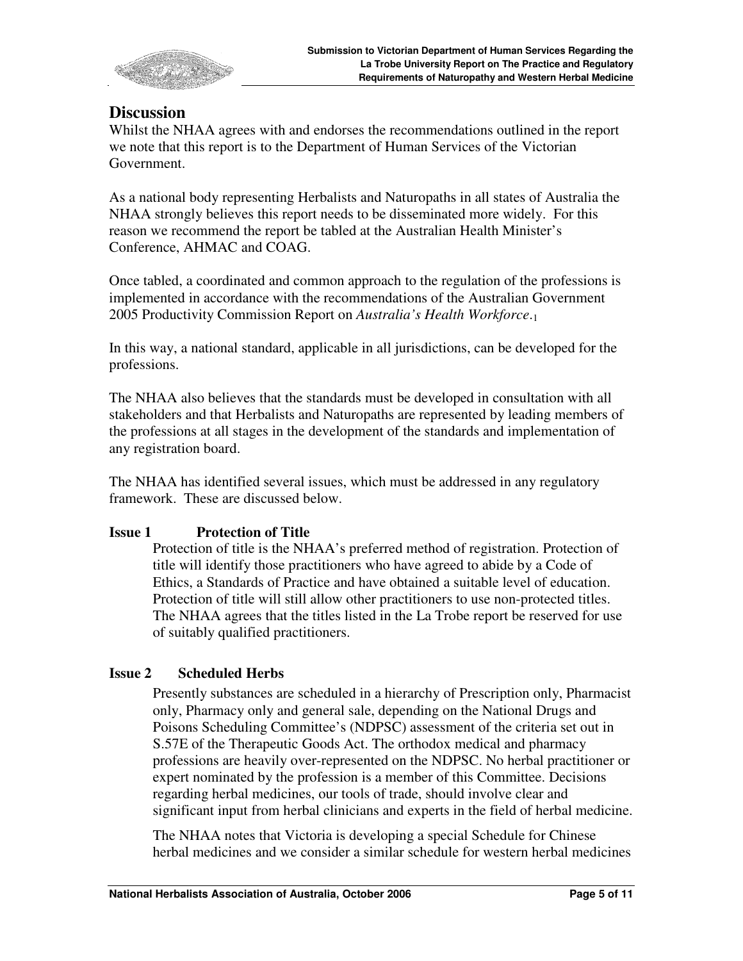

### **Discussion**

Whilst the NHAA agrees with and endorses the recommendations outlined in the report we note that this report is to the Department of Human Services of the Victorian Government.

As a national body representing Herbalists and Naturopaths in all states of Australia the NHAA strongly believes this report needs to be disseminated more widely. For this reason we recommend the report be tabled at the Australian Health Minister's Conference, AHMAC and COAG.

Once tabled, a coordinated and common approach to the regulation of the professions is implemented in accordance with the recommendations of the Australian Government 2005 Productivity Commission Report on *Australia's Health Workforce*.<sup>1</sup>

In this way, a national standard, applicable in all jurisdictions, can be developed for the professions.

The NHAA also believes that the standards must be developed in consultation with all stakeholders and that Herbalists and Naturopaths are represented by leading members of the professions at all stages in the development of the standards and implementation of any registration board.

The NHAA has identified several issues, which must be addressed in any regulatory framework. These are discussed below.

#### **Issue 1 Protection of Title**

Protection of title is the NHAA's preferred method of registration. Protection of title will identify those practitioners who have agreed to abide by a Code of Ethics, a Standards of Practice and have obtained a suitable level of education. Protection of title will still allow other practitioners to use non-protected titles. The NHAA agrees that the titles listed in the La Trobe report be reserved for use of suitably qualified practitioners.

#### **Issue 2 Scheduled Herbs**

Presently substances are scheduled in a hierarchy of Prescription only, Pharmacist only, Pharmacy only and general sale, depending on the National Drugs and Poisons Scheduling Committee's (NDPSC) assessment of the criteria set out in S.57E of the Therapeutic Goods Act. The orthodox medical and pharmacy professions are heavily over-represented on the NDPSC. No herbal practitioner or expert nominated by the profession is a member of this Committee. Decisions regarding herbal medicines, our tools of trade, should involve clear and significant input from herbal clinicians and experts in the field of herbal medicine.

The NHAA notes that Victoria is developing a special Schedule for Chinese herbal medicines and we consider a similar schedule for western herbal medicines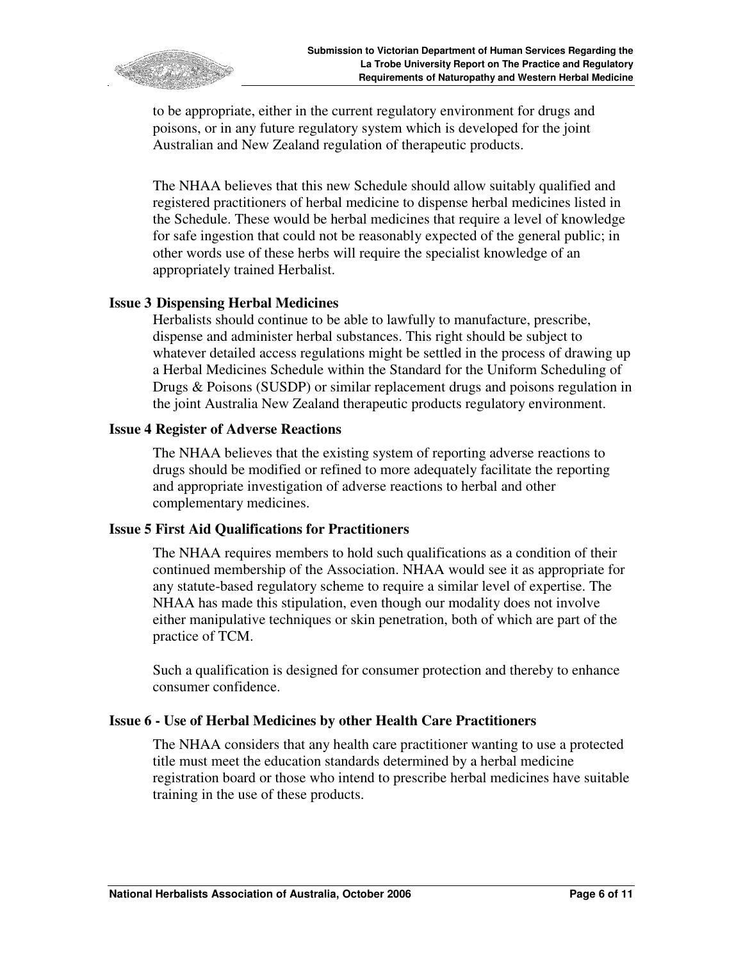

to be appropriate, either in the current regulatory environment for drugs and poisons, or in any future regulatory system which is developed for the joint Australian and New Zealand regulation of therapeutic products.

The NHAA believes that this new Schedule should allow suitably qualified and registered practitioners of herbal medicine to dispense herbal medicines listed in the Schedule. These would be herbal medicines that require a level of knowledge for safe ingestion that could not be reasonably expected of the general public; in other words use of these herbs will require the specialist knowledge of an appropriately trained Herbalist.

#### **Issue 3 Dispensing Herbal Medicines**

Herbalists should continue to be able to lawfully to manufacture, prescribe, dispense and administer herbal substances. This right should be subject to whatever detailed access regulations might be settled in the process of drawing up a Herbal Medicines Schedule within the Standard for the Uniform Scheduling of Drugs & Poisons (SUSDP) or similar replacement drugs and poisons regulation in the joint Australia New Zealand therapeutic products regulatory environment.

#### **Issue 4 Register of Adverse Reactions**

The NHAA believes that the existing system of reporting adverse reactions to drugs should be modified or refined to more adequately facilitate the reporting and appropriate investigation of adverse reactions to herbal and other complementary medicines.

#### **Issue 5 First Aid Qualifications for Practitioners**

The NHAA requires members to hold such qualifications as a condition of their continued membership of the Association. NHAA would see it as appropriate for any statute-based regulatory scheme to require a similar level of expertise. The NHAA has made this stipulation, even though our modality does not involve either manipulative techniques or skin penetration, both of which are part of the practice of TCM.

Such a qualification is designed for consumer protection and thereby to enhance consumer confidence.

#### **Issue 6 - Use of Herbal Medicines by other Health Care Practitioners**

The NHAA considers that any health care practitioner wanting to use a protected title must meet the education standards determined by a herbal medicine registration board or those who intend to prescribe herbal medicines have suitable training in the use of these products.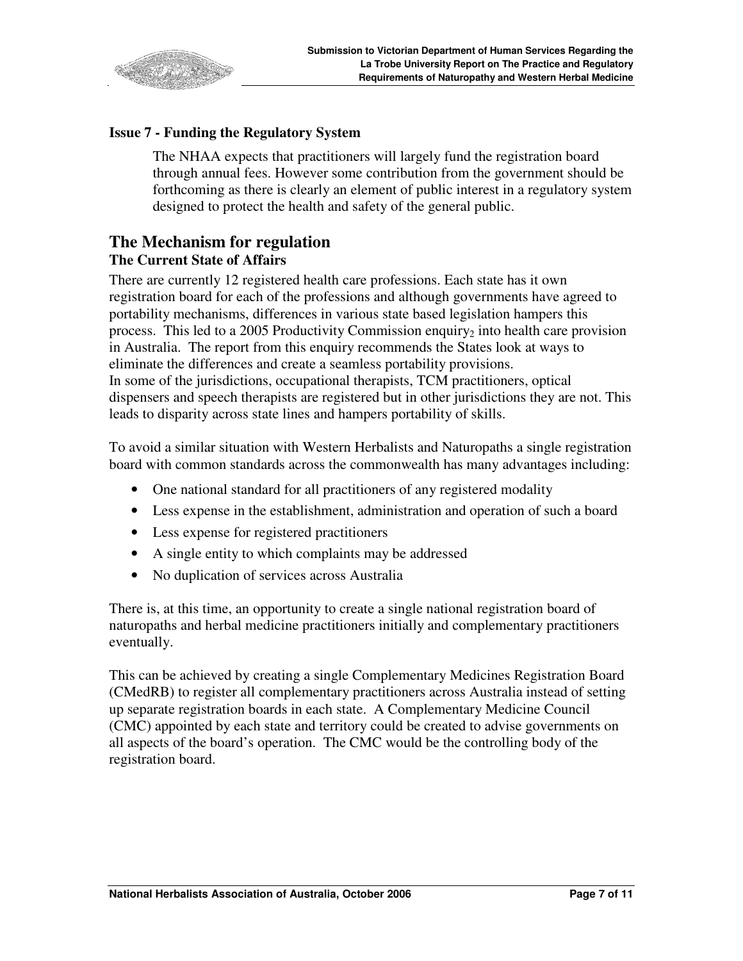

#### **Issue 7 - Funding the Regulatory System**

The NHAA expects that practitioners will largely fund the registration board through annual fees. However some contribution from the government should be forthcoming as there is clearly an element of public interest in a regulatory system designed to protect the health and safety of the general public.

### **The Mechanism for regulation The Current State of Affairs**

There are currently 12 registered health care professions. Each state has it own registration board for each of the professions and although governments have agreed to portability mechanisms, differences in various state based legislation hampers this process. This led to a 2005 Productivity Commission enquiry<sub>2</sub> into health care provision in Australia. The report from this enquiry recommends the States look at ways to eliminate the differences and create a seamless portability provisions. In some of the jurisdictions, occupational therapists, TCM practitioners, optical dispensers and speech therapists are registered but in other jurisdictions they are not. This leads to disparity across state lines and hampers portability of skills.

To avoid a similar situation with Western Herbalists and Naturopaths a single registration board with common standards across the commonwealth has many advantages including:

- One national standard for all practitioners of any registered modality
- Less expense in the establishment, administration and operation of such a board
- Less expense for registered practitioners
- A single entity to which complaints may be addressed
- No duplication of services across Australia

There is, at this time, an opportunity to create a single national registration board of naturopaths and herbal medicine practitioners initially and complementary practitioners eventually.

This can be achieved by creating a single Complementary Medicines Registration Board (CMedRB) to register all complementary practitioners across Australia instead of setting up separate registration boards in each state. A Complementary Medicine Council (CMC) appointed by each state and territory could be created to advise governments on all aspects of the board's operation. The CMC would be the controlling body of the registration board.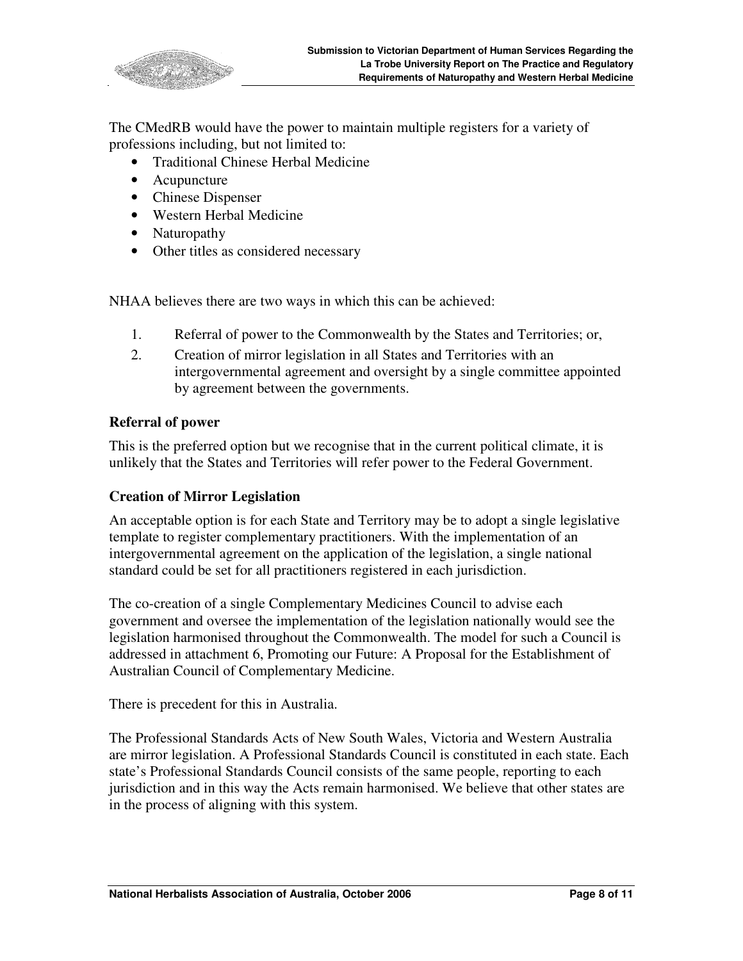

The CMedRB would have the power to maintain multiple registers for a variety of professions including, but not limited to:

- Traditional Chinese Herbal Medicine
- Acupuncture
- Chinese Dispenser
- Western Herbal Medicine
- Naturopathy
- Other titles as considered necessary

NHAA believes there are two ways in which this can be achieved:

- 1. Referral of power to the Commonwealth by the States and Territories; or,
- 2. Creation of mirror legislation in all States and Territories with an intergovernmental agreement and oversight by a single committee appointed by agreement between the governments.

#### **Referral of power**

This is the preferred option but we recognise that in the current political climate, it is unlikely that the States and Territories will refer power to the Federal Government.

#### **Creation of Mirror Legislation**

An acceptable option is for each State and Territory may be to adopt a single legislative template to register complementary practitioners. With the implementation of an intergovernmental agreement on the application of the legislation, a single national standard could be set for all practitioners registered in each jurisdiction.

The co-creation of a single Complementary Medicines Council to advise each government and oversee the implementation of the legislation nationally would see the legislation harmonised throughout the Commonwealth. The model for such a Council is addressed in attachment 6, Promoting our Future: A Proposal for the Establishment of Australian Council of Complementary Medicine.

There is precedent for this in Australia.

The Professional Standards Acts of New South Wales, Victoria and Western Australia are mirror legislation. A Professional Standards Council is constituted in each state. Each state's Professional Standards Council consists of the same people, reporting to each jurisdiction and in this way the Acts remain harmonised. We believe that other states are in the process of aligning with this system.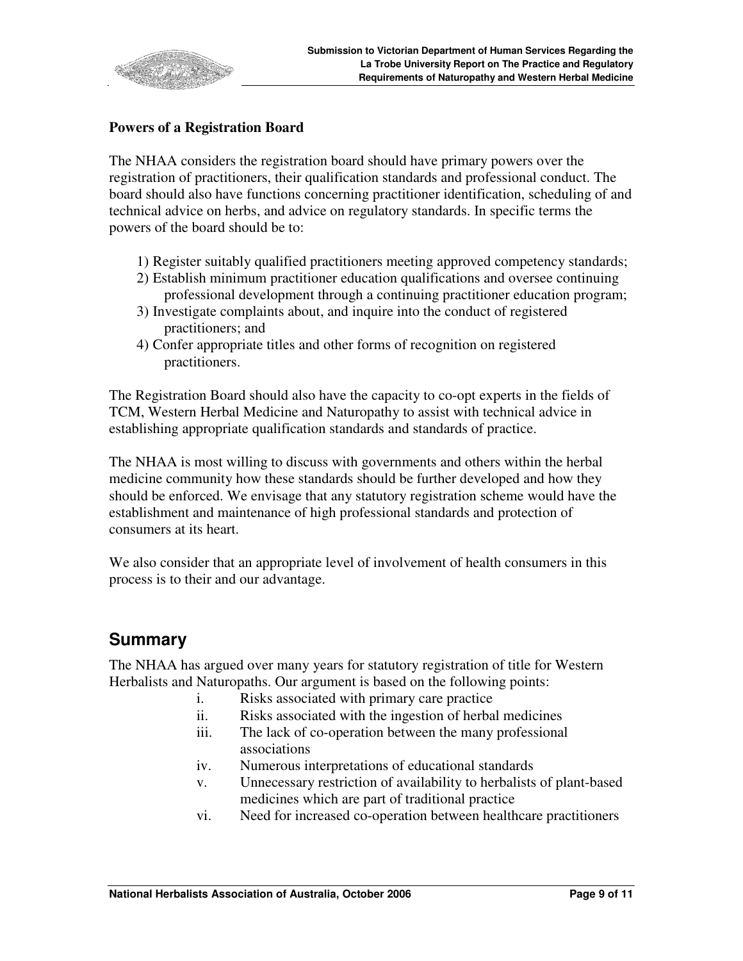

#### **Powers of a Registration Board**

The NHAA considers the registration board should have primary powers over the registration of practitioners, their qualification standards and professional conduct. The board should also have functions concerning practitioner identification, scheduling of and technical advice on herbs, and advice on regulatory standards. In specific terms the powers of the board should be to:

- 1) Register suitably qualified practitioners meeting approved competency standards;
- 2) Establish minimum practitioner education qualifications and oversee continuing professional development through a continuing practitioner education program;
- 3) Investigate complaints about, and inquire into the conduct of registered practitioners; and
- 4) Confer appropriate titles and other forms of recognition on registered practitioners.

The Registration Board should also have the capacity to co-opt experts in the fields of TCM, Western Herbal Medicine and Naturopathy to assist with technical advice in establishing appropriate qualification standards and standards of practice.

The NHAA is most willing to discuss with governments and others within the herbal medicine community how these standards should be further developed and how they should be enforced. We envisage that any statutory registration scheme would have the establishment and maintenance of high professional standards and protection of consumers at its heart.

We also consider that an appropriate level of involvement of health consumers in this process is to their and our advantage.

## **Summary**

The NHAA has argued over many years for statutory registration of title for Western Herbalists and Naturopaths. Our argument is based on the following points:

- i. Risks associated with primary care practice
- ii. Risks associated with the ingestion of herbal medicines
- iii. The lack of co-operation between the many professional associations
- iv. Numerous interpretations of educational standards
- v. Unnecessary restriction of availability to herbalists of plant-based medicines which are part of traditional practice
- vi. Need for increased co-operation between healthcare practitioners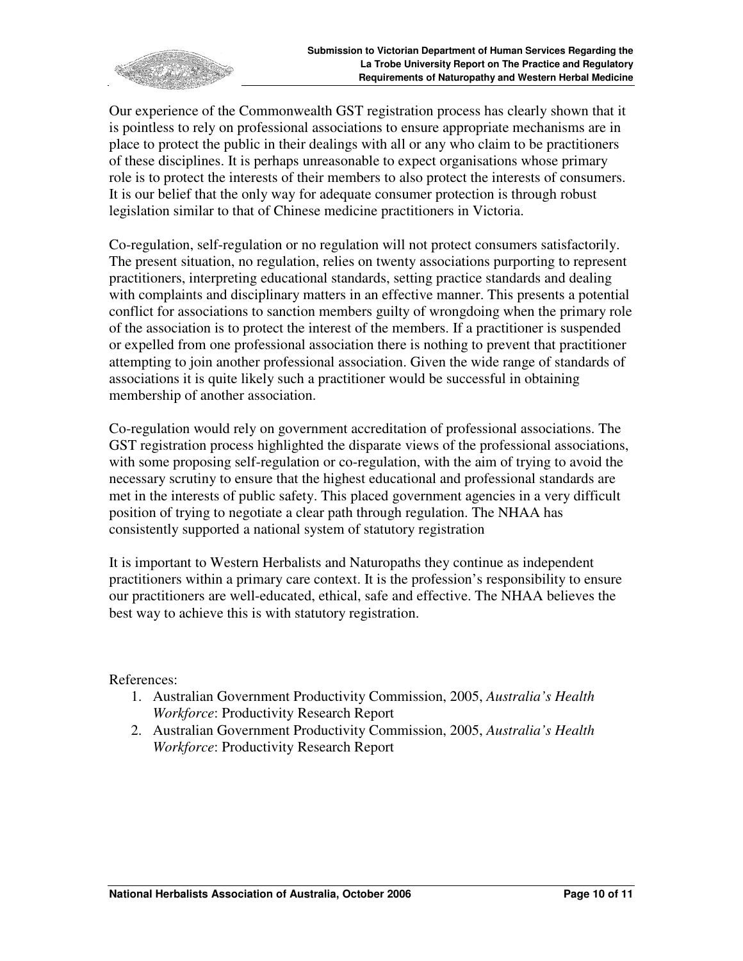

Our experience of the Commonwealth GST registration process has clearly shown that it is pointless to rely on professional associations to ensure appropriate mechanisms are in place to protect the public in their dealings with all or any who claim to be practitioners of these disciplines. It is perhaps unreasonable to expect organisations whose primary role is to protect the interests of their members to also protect the interests of consumers. It is our belief that the only way for adequate consumer protection is through robust legislation similar to that of Chinese medicine practitioners in Victoria.

Co-regulation, self-regulation or no regulation will not protect consumers satisfactorily. The present situation, no regulation, relies on twenty associations purporting to represent practitioners, interpreting educational standards, setting practice standards and dealing with complaints and disciplinary matters in an effective manner. This presents a potential conflict for associations to sanction members guilty of wrongdoing when the primary role of the association is to protect the interest of the members. If a practitioner is suspended or expelled from one professional association there is nothing to prevent that practitioner attempting to join another professional association. Given the wide range of standards of associations it is quite likely such a practitioner would be successful in obtaining membership of another association.

Co-regulation would rely on government accreditation of professional associations. The GST registration process highlighted the disparate views of the professional associations, with some proposing self-regulation or co-regulation, with the aim of trying to avoid the necessary scrutiny to ensure that the highest educational and professional standards are met in the interests of public safety. This placed government agencies in a very difficult position of trying to negotiate a clear path through regulation. The NHAA has consistently supported a national system of statutory registration

It is important to Western Herbalists and Naturopaths they continue as independent practitioners within a primary care context. It is the profession's responsibility to ensure our practitioners are well-educated, ethical, safe and effective. The NHAA believes the best way to achieve this is with statutory registration.

References:

- 1. Australian Government Productivity Commission, 2005, *Australia's Health Workforce*: Productivity Research Report
- 2. Australian Government Productivity Commission, 2005, *Australia's Health Workforce*: Productivity Research Report